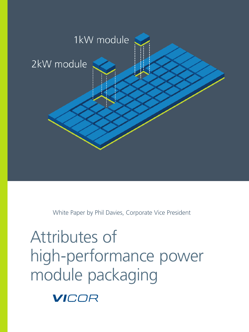

White Paper by Phil Davies, Corporate Vice President

# Attributes of high‑performance power module packaging

VICOR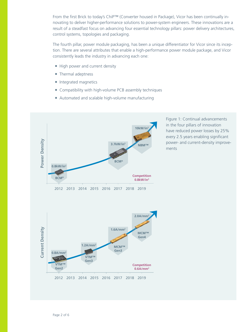From the first Brick to today's ChiP™ (Converter housed in Package), Vicor has been continually in‑ novating to deliver higher-performance solutions to power-system engineers. These innovations are a result of a steadfast focus on advancing four essential technology pillars: power delivery architectures, control systems, topologies and packaging.

The fourth pillar, power module packaging, has been a unique differentiator for Vicor since its inception. There are several attributes that enable a high-performance power module package, and Vicor consistently leads the industry in advancing each one:

- High power and current density
- Thermal adeptness
- Integrated magnetics
- Compatibility with high-volume PCB assembly techniques
- Automated and scalable high-volume manufacturing



Figure 1: Continual advancements in the four pillars of innovation have reduced power losses by 25% every 2.5 years enabling significant power- and current-density improvements

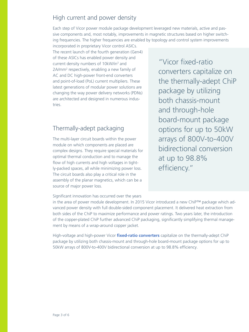### High current and power density

Each step of Vicor power module package development leveraged new materials, active and passive components and, most notably, improvements in magnetic structures based on higher switching frequencies. The higher frequencies are enabled by topology and control system improvements

incorporated in proprietary Vicor control ASICs. The recent launch of the fourth generation (Gen4) of these ASICs has enabled power density and current density numbers of 10kW/in<sup>3</sup> and 2A/mm2 respectively, enabling a new family of AC and DC high-power front-end converters and point-of-load (PoL) current multipliers. These latest generations of modular power solutions are changing the way power delivery networks (PDNs) are architected and designed in numerous industries.

### Thermally‑adept packaging

The multi-layer circuit boards within the power module on which components are placed are complex designs. They require special materials for optimal thermal conduction and to manage the flow of high currents and high voltages in tightly-packed spaces, all while minimizing power loss. The circuit boards also play a critical role in the assembly of the planar magnetics, which can be a source of major power loss.

"Vicor [fixed‑ratio](http://www.vicorpower.com/dc-dc/non-isolated-fixed-ratio)  [converters](http://www.vicorpower.com/dc-dc/non-isolated-fixed-ratio) capitalize on the thermally‑adept ChiP package by utilizing both chassis‑mount and through-hole board‑mount package options for up to 50kW arrays of 800V-to-400V bidirectional conversion at up to 98.8% efficiency."

Significant innovation has occurred over the years

in the area of power module development. In 2015 Vicor introduced a new ChiP™ package which advanced power density with full double-sided component placement. It delivered heat extraction from both sides of the ChiP to maximize performance and power ratings. Two years later, the introduction of the copper-plated ChiP further advanced ChiP packaging, significantly simplifying thermal management by means of a wrap-around copper jacket.

High-voltage and high-power Vicor fixed-ratio converters capitalize on the thermally-adept ChiP package by utilizing both chassis‑mount and through‑hole board‑mount package options for up to 50kW arrays of 800V-to-400V bidirectional conversion at up to 98.8% efficiency.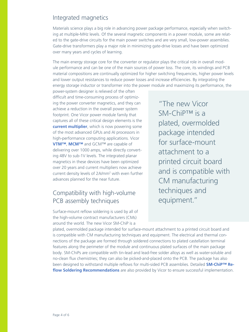#### Integrated magnetics

Materials science plays a big role in advancing power package performance, especially when switching at multiple-MHz levels. Of the several magnetic components in a power module, some are related to the gate-drive circuits for the main power switches and are very small, low-power assemblies. Gate-drive transformers play a major role in minimizing gate-drive losses and have been optimized over many years and cycles of learning.

The main energy storage core for the converter or regulator plays the critical role in overall module performance and can be one of the main sources of power loss. The core, its windings and PCB material compositions are continually optimized for higher switching frequencies, higher power levels and lower output resistances to reduce power losses and increase efficiencies. By integrating the energy storage inductor or transformer into the power module and maximizing its performance, the

power‑system designer is relieved of the often difficult and time-consuming process of optimizing the power converter magnetics, and they can achieve a reduction in the overall power system footprint. One Vicor power module family that captures all of these critical design elements is the **[current multiplier](http://www.vicorpower.com/press-room/hydra-ii)**, which is now powering some of the most advanced GPUs and AI processors in high-performance computing applications. Vicor **[VTM™](http://www.vicorpower.com/dc-dc-converters-board-mount/vtm-current-multiplier)**, **[MCM™](http://www.vicorpower.com/industries-and-innovations/power-on-package)** and GCM™ are capable of delivering over 1000 amps, while directly converting 48V to sub‑1V levels. The integrated planar magnetics in these devices have been optimized over 20 years and current multipliers now achieve current density levels of 2A/mm<sup>2</sup> with even further advances planned for the near future.

## Compatibility with high-volume PCB assembly techniques

Surface-mount reflow soldering is used by all of the high-volume contract manufacturers (CMs) around the world. The new Vicor SM‑ChiP is a

"The new Vicor SM-ChiP™ is a plated, overmolded package intended for surface-mount attachment to a printed circuit board and is compatible with CM manufacturing techniques and equipment."

plated, overmolded package intended for surface‑mount attachment to a printed circuit board and is compatible with CM manufacturing techniques and equipment. The electrical and thermal connections of the package are formed through soldered connections to plated castellation terminal features along the perimeter of the module and continuous plated surfaces of the main package body. SM-ChiPs are compatible with tin-lead and lead-free solder alloys as well as water-soluble and no-clean flux chemistries; they can also be picked-and-placed onto the PCB. The package has also been designed to withstand multiple reflows for multi-sided PCB assemblies. Detailed **SM-ChiP™ Re[flow Soldering Recommendations](http://www.vicorpower.com/documents/application_notes/an-701-SM-ChiP-SolderingRecommendations-VICOR.pdf)** are also provided by Vicor to ensure successful implementation.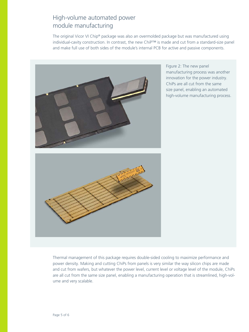## High‑volume automated power module manufacturing

The original Vicor VI Chip® package was also an overmolded package but was manufactured using individual-cavity construction. In contrast, the new ChiP™ is made and cut from a standard-size panel and make full use of both sides of the module's internal PCB for active and passive components.



Figure 2: The new panel manufacturing process was another innovation for the power industry. ChiPs are all cut from the same size panel, enabling an automated high-volume manufacturing process.



Thermal management of this package requires double-sided cooling to maximize performance and power density. Making and cutting ChiPs from panels is very similar the way silicon chips are made and cut from wafers, but whatever the power level, current level or voltage level of the module, ChiPs are all cut from the same size panel, enabling a manufacturing operation that is streamlined, high-volume and very scalable.